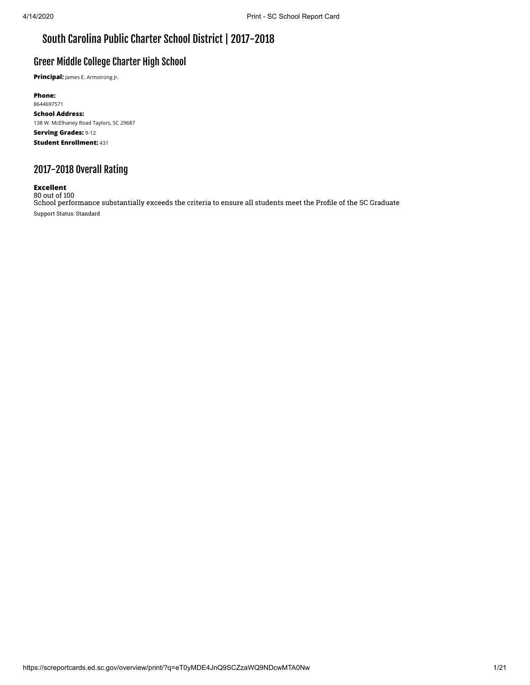## South Carolina Public Charter School District | 2017-2018

### Greer Middle College Charter High School

**Principal:** James E. Armstrong Jr.

**Phone:** 8644697571 **School Address:** 138 W. McElhaney Road Taylors, SC 29687 **Serving Grades:** 9-12 **Student Enrollment:** 431

## 2017-2018 Overall Rating

#### **Excellent**

80 out of 100 School performance substantially exceeds the criteria to ensure all students meet the Profile of the SC Graduate Support Status: Standard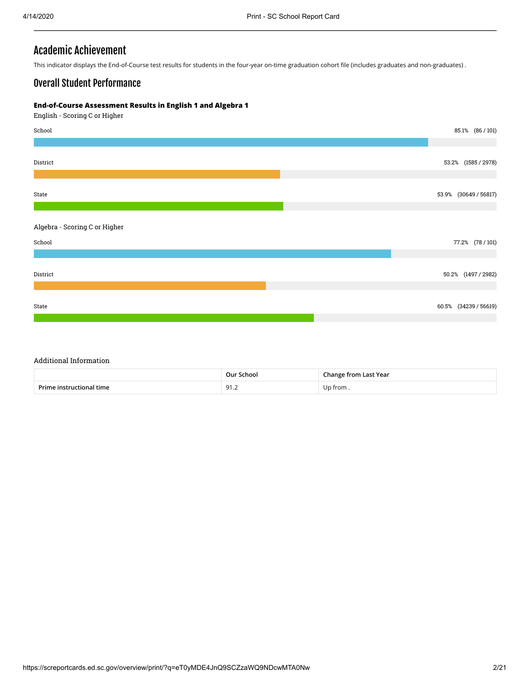### Academic Achievement

This indicator displays the End-of-Course test results for students in the four-year on-time graduation cohort file (includes graduates and non-graduates) .

### Overall Student Performance

#### **End-of-Course Assessment Results in English 1 and Algebra 1**

English - Scoring C or Higher



#### Additional Information

|           | ™nool<br>∩ur<br>. | Vear<br>$ -$<br>$ -$ |  |  |  |
|-----------|-------------------|----------------------|--|--|--|
| D-i<br>™⊫ | ດ1<br>ے. ار       | ,,,,                 |  |  |  |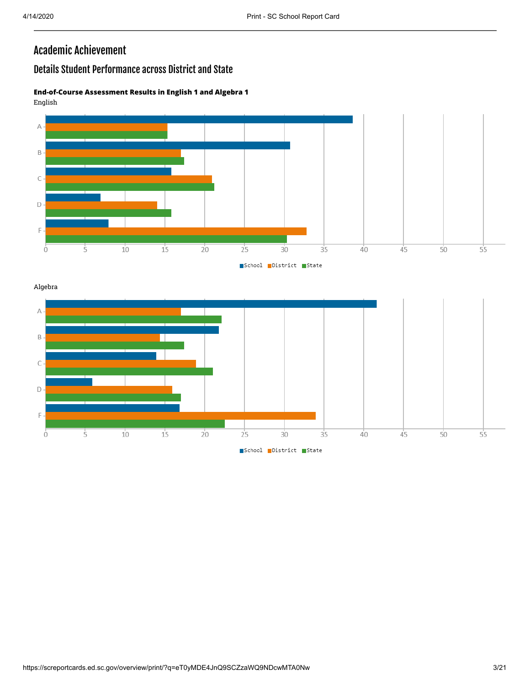## Academic Achievement

## Details Student Performance across District and State

#### **End-of-Course Assessment Results in English 1 and Algebra 1** English



Algebra

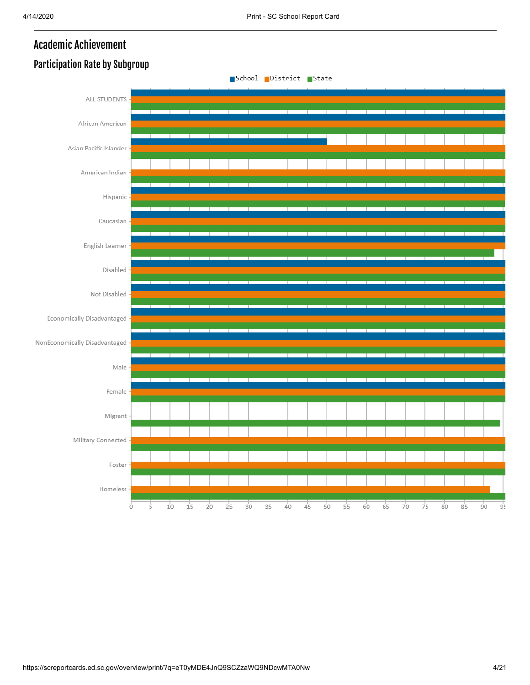# Academic Achievement

### School District State ALL STUDENTS African American Asian Pacific Islander American Indian Hispanic Caucasian English Learner Disabled Not Disabled Economically Disadvantaged NonEconomically Disadvantaged Male Female Migrant Military Connected Foster Homeless  $10$  $15$  $20^{\circ}$  $25$  $\overline{30}$  $\frac{1}{35}$  $40^{\circ}$  $\overline{45}$  $50$  $55$  $65^{\circ}$  $70^{\circ}$  $75$  $8<sup>1</sup>$  $\dot{5}$ 60  $80^{\circ}$  $90^{\circ}$  $95$ Ò

## Participation Rate by Subgroup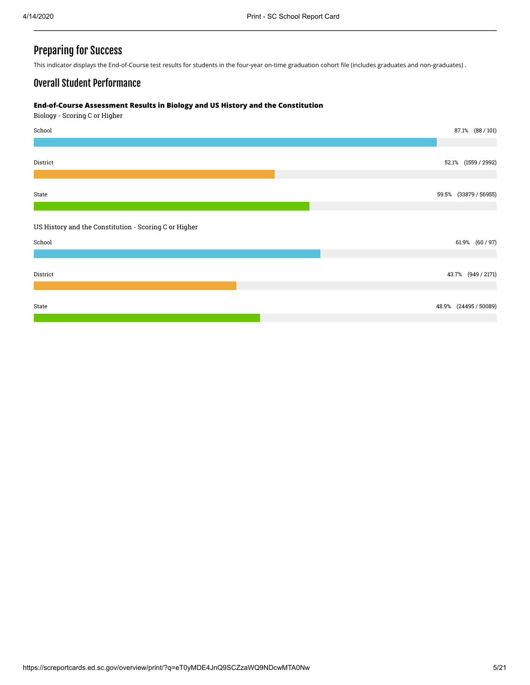### Preparing for Success

This indicator displays the End-of-Course test results for students in the four-year on-time graduation cohort file (includes graduates and non-graduates) .

### Overall Student Performance

#### **End-of-Course Assessment Results in Biology and US History and the Constitution**

Biology - Scoring C or Higher

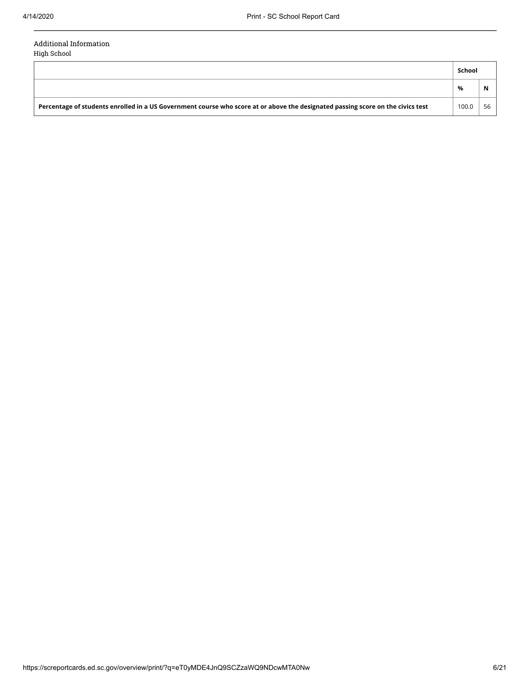#### Additional Information High School

**School % N Percentage of students enrolled in a US Government course who score at or above the designated passing score on the civics test** 100.0 | 56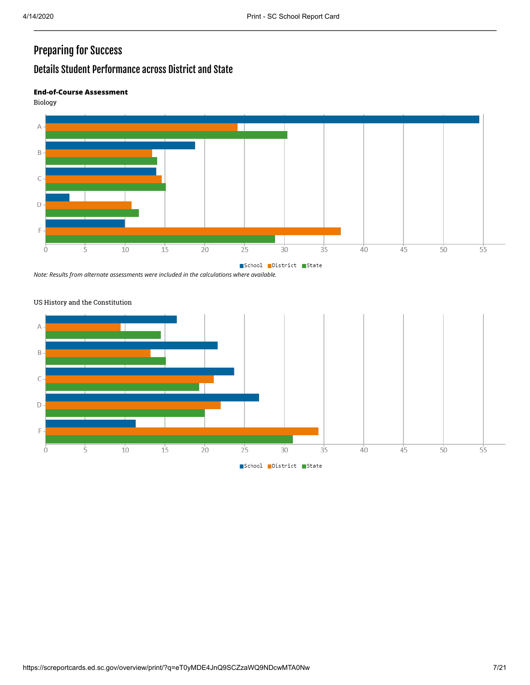# Preparing for Success

## Details Student Performance across District and State

#### **End-of-Course Assessment**

Biology



*Note: Results from alternate assessments were included in the calculations where available.*



#### US History and the Constitution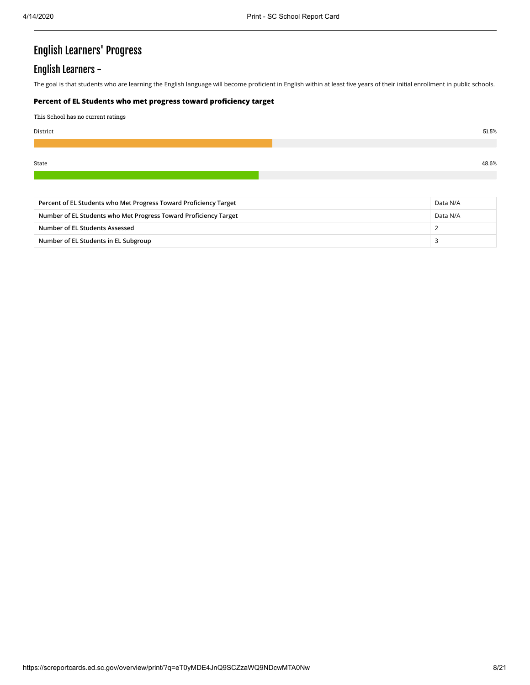# English Learners' Progress

### English Learners -

The goal is that students who are learning the English language will become proficient in English within at least five years of their initial enrollment in public schools.

#### **Percent of EL Students who met progress toward proficiency target**

This School has no current ratings

| District | 51.5% |
|----------|-------|
|          |       |
| State    | 48.6% |
|          |       |

| Percent of EL Students who Met Progress Toward Proficiency Target<br>Data N/A |          |  |
|-------------------------------------------------------------------------------|----------|--|
| Number of EL Students who Met Progress Toward Proficiency Target              | Data N/A |  |
| Number of EL Students Assessed                                                |          |  |
| Number of EL Students in EL Subgroup                                          |          |  |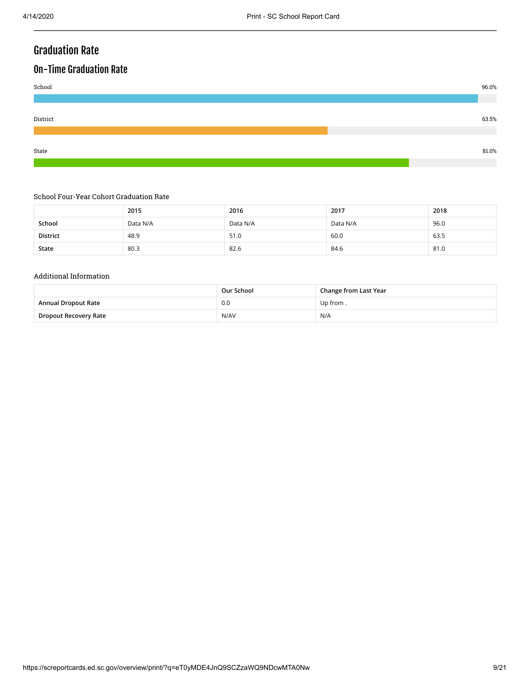## Graduation Rate

## On-Time Graduation Rate



#### School Four-Year Cohort Graduation Rate

|                 | 2015     | 2016     | 2017     | 2018 |
|-----------------|----------|----------|----------|------|
| School          | Data N/A | Data N/A | Data N/A | 96.0 |
| <b>District</b> | 48.9     | 51.0     | 60.0     | 63.5 |
| State           | 80.3     | 82.6     | 84.6     | 81.0 |

#### Additional Information

|                            | Change from Last Year<br>Our School |          |
|----------------------------|-------------------------------------|----------|
| <b>Annual Dropout Rate</b> | 0.0                                 | Up from. |
| Dropout Recovery Rate      | N/AV                                | N/A      |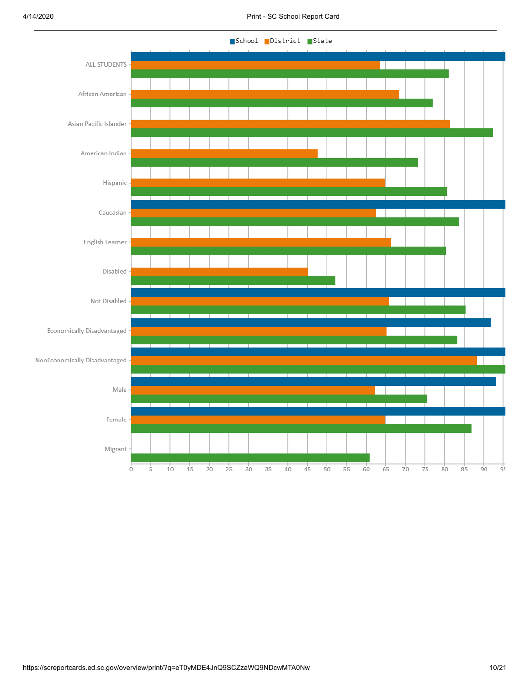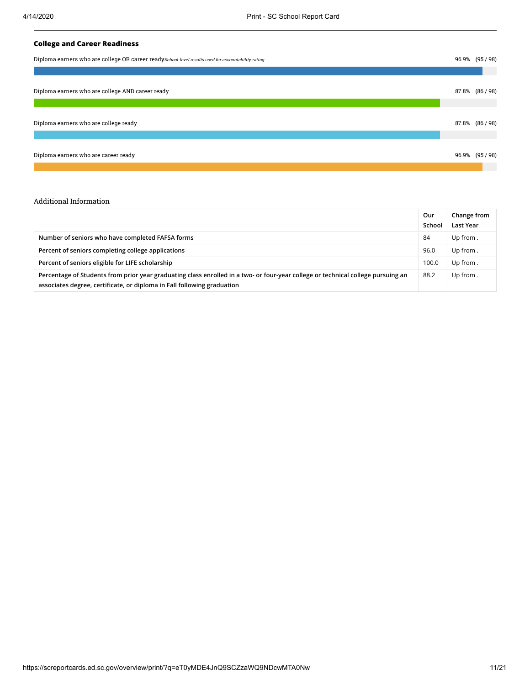#### **College and Career Readiness**

| Diploma earners who are college OR career ready School-level results used for accountability rating. | 96.9% (95 / 98) |
|------------------------------------------------------------------------------------------------------|-----------------|
|                                                                                                      |                 |
| Diploma earners who are college AND career ready                                                     | 87.8% (86/98)   |
| Diploma earners who are college ready                                                                | 87.8% (86 / 98) |
| Diploma earners who are career ready                                                                 | 96.9% (95/98)   |

#### Additional Information

|                                                                                                                                                                                                             | Our<br>School | Change from<br>Last Year |
|-------------------------------------------------------------------------------------------------------------------------------------------------------------------------------------------------------------|---------------|--------------------------|
| Number of seniors who have completed FAFSA forms                                                                                                                                                            | 84            | Up from.                 |
| Percent of seniors completing college applications                                                                                                                                                          | 96.0          | Up from.                 |
| Percent of seniors eligible for LIFE scholarship                                                                                                                                                            | 100.0         | Up from.                 |
| Percentage of Students from prior year graduating class enrolled in a two- or four-year college or technical college pursuing an<br>associates degree, certificate, or diploma in Fall following graduation | 88.2          | Up from.                 |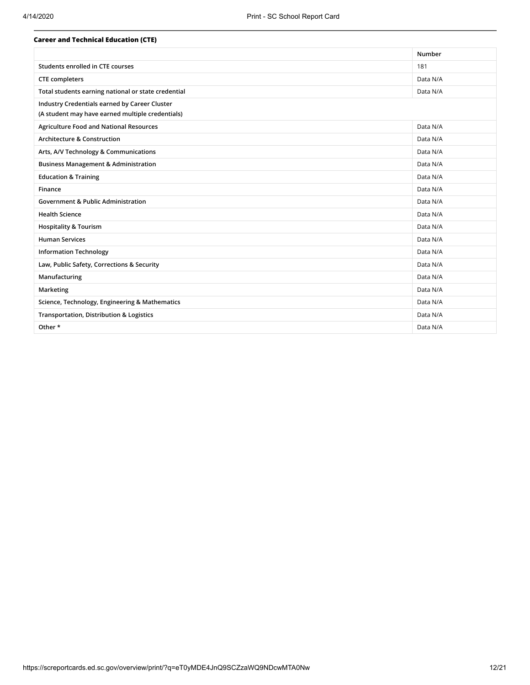| <b>Career and Technical Education (CTE)</b>         |          |
|-----------------------------------------------------|----------|
|                                                     | Number   |
| Students enrolled in CTE courses                    | 181      |
| <b>CTE</b> completers                               | Data N/A |
| Total students earning national or state credential | Data N/A |
| Industry Credentials earned by Career Cluster       |          |
| (A student may have earned multiple credentials)    |          |
| <b>Agriculture Food and National Resources</b>      | Data N/A |
| <b>Architecture &amp; Construction</b>              | Data N/A |
| Arts, A/V Technology & Communications               | Data N/A |
| <b>Business Management &amp; Administration</b>     | Data N/A |
| <b>Education &amp; Training</b>                     | Data N/A |
| Finance                                             | Data N/A |
| <b>Government &amp; Public Administration</b>       | Data N/A |
| <b>Health Science</b>                               | Data N/A |
| <b>Hospitality &amp; Tourism</b>                    | Data N/A |
| <b>Human Services</b>                               | Data N/A |
| <b>Information Technology</b>                       | Data N/A |
| Law, Public Safety, Corrections & Security          | Data N/A |
| Manufacturing                                       | Data N/A |
| Marketing                                           | Data N/A |
| Science, Technology, Engineering & Mathematics      | Data N/A |
| Transportation, Distribution & Logistics            | Data N/A |
| Other *                                             | Data N/A |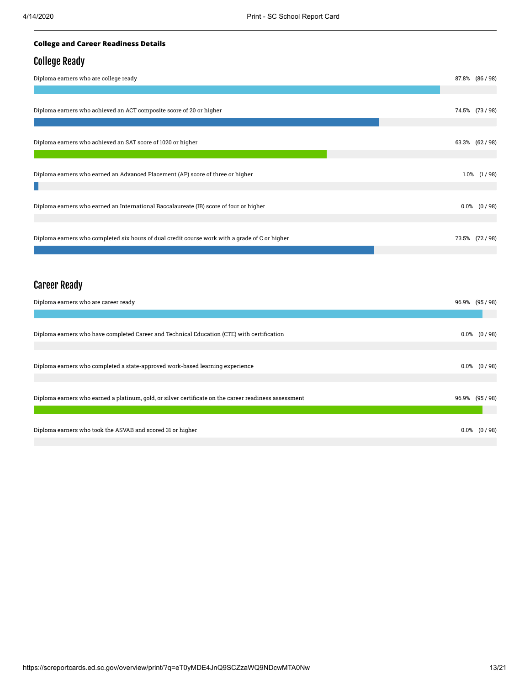#### **College and Career Readiness Details**

### College Ready

| Diploma earners who are college ready                                                          | 87.8% (86/98)    |
|------------------------------------------------------------------------------------------------|------------------|
|                                                                                                |                  |
| Diploma earners who achieved an ACT composite score of 20 or higher                            | 74.5% (73/98)    |
| Diploma earners who achieved an SAT score of 1020 or higher                                    | 63.3% (62/98)    |
| Diploma earners who earned an Advanced Placement (AP) score of three or higher                 | $1.0\%$ $(1/98)$ |
|                                                                                                |                  |
| Diploma earners who earned an International Baccalaureate (IB) score of four or higher         | $0.0\%$ $(0/98)$ |
| Diploma earners who completed six hours of dual credit course work with a grade of C or higher | 73.5% (72/98)    |

## Career Ready

| Diploma earners who are career ready                                                                  | 96.9% (95/98)    |
|-------------------------------------------------------------------------------------------------------|------------------|
|                                                                                                       |                  |
| Diploma earners who have completed Career and Technical Education (CTE) with certification            | $0.0\%$ $(0/98)$ |
| Diploma earners who completed a state-approved work-based learning experience                         | $0.0\%$ $(0/98)$ |
| Diploma earners who earned a platinum, gold, or silver certificate on the career readiness assessment | 96.9% (95 / 98)  |
| Diploma earners who took the ASVAB and scored 31 or higher                                            | $0.0\%$ $(0/98)$ |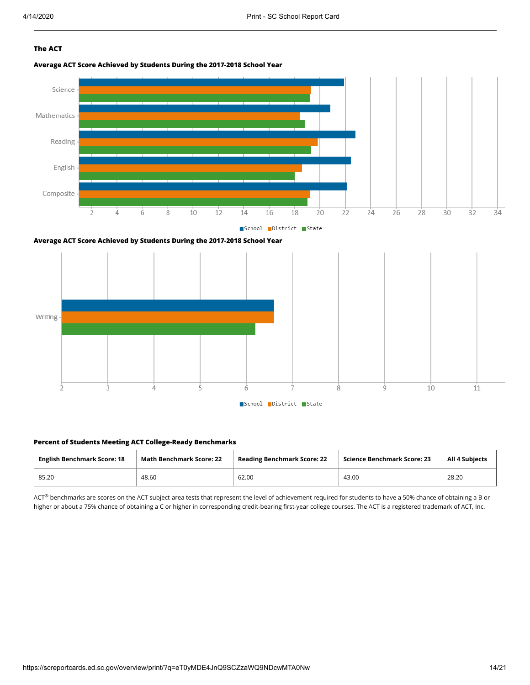#### **The ACT**









#### **Percent of Students Meeting ACT College-Ready Benchmarks**

| <b>English Benchmark Score: 18</b> | <b>Math Benchmark Score: 22</b> | <b>Reading Benchmark Score: 22</b> | Science Benchmark Score: 23 | <b>All 4 Subjects</b> |
|------------------------------------|---------------------------------|------------------------------------|-----------------------------|-----------------------|
| 85.20                              | 48.60                           | 62.00                              | 43.00                       | 28.20                 |

 $ACT^{\circledast}$  benchmarks are scores on the ACT subject-area tests that represent the level of achievement required for students to have a 50% chance of obtaining a B or higher or about a 75% chance of obtaining a C or higher in corresponding credit-bearing first-year college courses. The ACT is a registered trademark of ACT, Inc.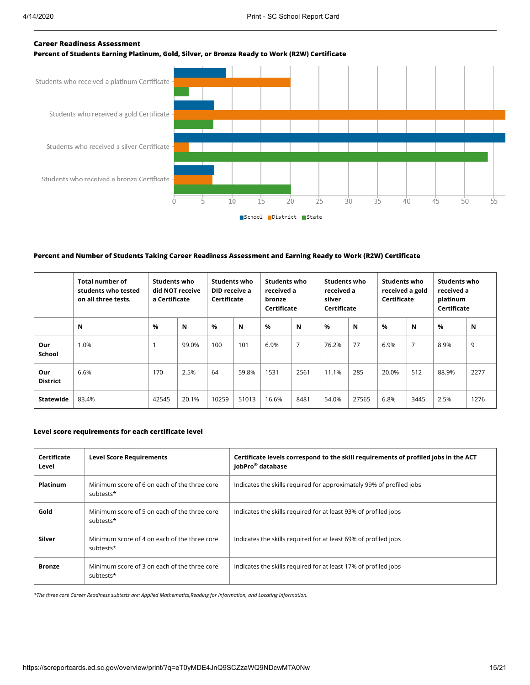#### **Career Readiness Assessment**

**Percent of Students Earning Platinum, Gold, Silver, or Bronze Ready to Work (R2W) Certificate**



#### **Percent and Number of Students Taking Career Readiness Assessment and Earning Ready to Work (R2W) Certificate**

|                        | <b>Total number of</b><br>students who tested<br>on all three tests. | Students who<br>did NOT receive<br>a Certificate |       |       | <b>Students who</b><br>Students who<br>received a<br>DID receive a<br>Certificate<br>bronze<br>Certificate |       | Students who<br><b>Students who</b><br><b>Students who</b><br>received a<br>received a<br>received a gold<br>Certificate<br>platinum<br>silver<br>Certificate<br>Certificate |       |       |       |                |       |      |
|------------------------|----------------------------------------------------------------------|--------------------------------------------------|-------|-------|------------------------------------------------------------------------------------------------------------|-------|------------------------------------------------------------------------------------------------------------------------------------------------------------------------------|-------|-------|-------|----------------|-------|------|
|                        | N                                                                    | %                                                | N     | $\%$  | N                                                                                                          | $\%$  | N                                                                                                                                                                            | %     | N     | %     | N              | %     | N    |
| Our<br><b>School</b>   | 1.0%                                                                 |                                                  | 99.0% | 100   | 101                                                                                                        | 6.9%  | $\overline{7}$                                                                                                                                                               | 76.2% | 77    | 6.9%  | $\overline{7}$ | 8.9%  | 9    |
| Our<br><b>District</b> | 6.6%                                                                 | 170                                              | 2.5%  | 64    | 59.8%                                                                                                      | 1531  | 2561                                                                                                                                                                         | 11.1% | 285   | 20.0% | 512            | 88.9% | 2277 |
| Statewide              | 83.4%                                                                | 42545                                            | 20.1% | 10259 | 51013                                                                                                      | 16.6% | 8481                                                                                                                                                                         | 54.0% | 27565 | 6.8%  | 3445           | 2.5%  | 1276 |

#### **Level score requirements for each certificate level**

| Certificate<br>Level | <b>Level Score Requirements</b>                           | Certificate levels correspond to the skill requirements of profiled jobs in the ACT<br>JobPro <sup>®</sup> database |
|----------------------|-----------------------------------------------------------|---------------------------------------------------------------------------------------------------------------------|
| <b>Platinum</b>      | Minimum score of 6 on each of the three core<br>subtests* | Indicates the skills required for approximately 99% of profiled jobs                                                |
| Gold                 | Minimum score of 5 on each of the three core<br>subtests* | Indicates the skills required for at least 93% of profiled jobs                                                     |
| Silver               | Minimum score of 4 on each of the three core<br>subtests* | Indicates the skills required for at least 69% of profiled jobs                                                     |
| <b>Bronze</b>        | Minimum score of 3 on each of the three core<br>subtests* | Indicates the skills required for at least 17% of profiled jobs                                                     |

*\*The three core Career Readiness subtests are: Applied Mathematics,Reading for Information, and Locating Information.*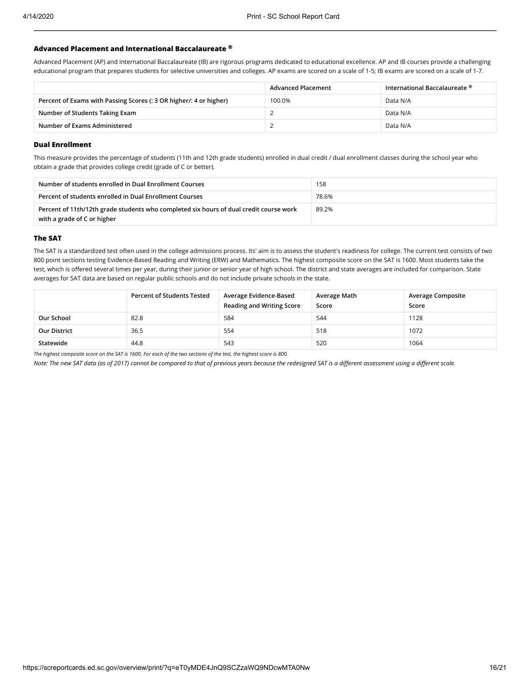#### **Advanced Placement and International Baccalaureate ®**

Advanced Placement (AP) and International Baccalaureate (IB) are rigorous programs dedicated to educational excellence. AP and IB courses provide a challenging educational program that prepares students for selective universities and colleges. AP exams are scored on a scale of 1-5; IB exams are scored on a scale of 1-7.

|                                                                    | <b>Advanced Placement</b> | International Baccalaureate $^\circledR$ |
|--------------------------------------------------------------------|---------------------------|------------------------------------------|
| Percent of Exams with Passing Scores (: 3 OR higher/: 4 or higher) | 100.0%                    | Data N/A                                 |
| Number of Students Taking Exam                                     |                           | Data N/A                                 |
| Number of Exams Administered                                       |                           | Data N/A                                 |

#### **Dual Enrollment**

This measure provides the percentage of students (11th and 12th grade students) enrolled in dual credit / dual enrollment classes during the school year who obtain a grade that provides college credit (grade of C or better).

| Number of students enrolled in Dual Enrollment Courses                                                                | 158   |
|-----------------------------------------------------------------------------------------------------------------------|-------|
| Percent of students enrolled in Dual Enrollment Courses                                                               | 78.6% |
| Percent of 11th/12th grade students who completed six hours of dual credit course work<br>with a grade of C or higher | 89.2% |

#### **The SAT**

The SAT is a standardized test often used in the college admissions process. Its' aim is to assess the student's readiness for college. The current test consists of two 800 point sections testing Evidence-Based Reading and Writing (ERW) and Mathematics. The highest composite score on the SAT is 1600. Most students take the test, which is offered several times per year, during their junior or senior year of high school. The district and state averages are included for comparison. State averages for SAT data are based on regular public schools and do not include private schools in the state.

|                     | <b>Percent of Students Tested</b> | Average Evidence-Based<br><b>Reading and Writing Score</b> | Average Math<br>Score | <b>Average Composite</b><br>Score |
|---------------------|-----------------------------------|------------------------------------------------------------|-----------------------|-----------------------------------|
| Our School          | 82.8                              | 584                                                        | 544                   | 1128                              |
| <b>Our District</b> | 36.5                              | 554                                                        | 518                   | 1072                              |
| Statewide           | 44.8                              | 543                                                        | 520                   | 1064                              |

*The highest composite score on the SAT is 1600. For each of the two sections of the test, the highest score is 800.*

*Note: The new SAT data (as of 2017) cannot be compared to that of previous years because the redesigned SAT is a different assessment using a different scale.*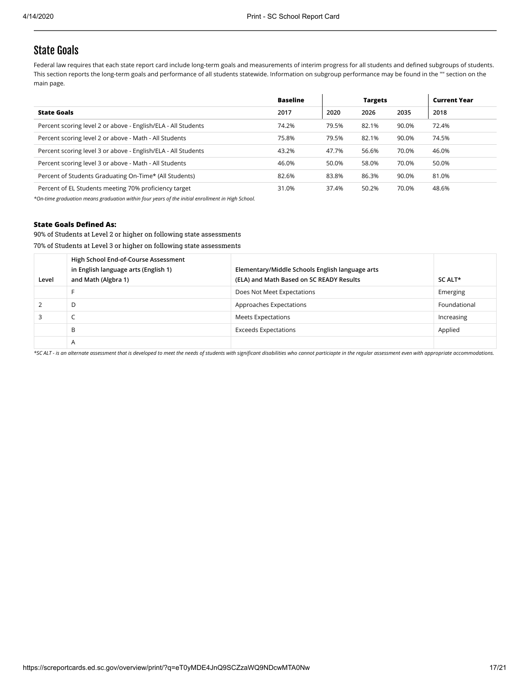### State Goals

Federal law requires that each state report card include long-term goals and measurements of interim progress for all students and defined subgroups of students. This section reports the long-term goals and performance of all students statewide. Information on subgroup performance may be found in the "" section on the main page.

|                                                               | <b>Baseline</b> |       | <b>Targets</b> |       | <b>Current Year</b> |
|---------------------------------------------------------------|-----------------|-------|----------------|-------|---------------------|
| <b>State Goals</b>                                            | 2017            | 2020  | 2026           | 2035  | 2018                |
| Percent scoring level 2 or above - English/ELA - All Students | 74.2%           | 79.5% | 82.1%          | 90.0% | 72.4%               |
| Percent scoring level 2 or above - Math - All Students        | 75.8%           | 79.5% | 82.1%          | 90.0% | 74.5%               |
| Percent scoring level 3 or above - English/ELA - All Students | 43.2%           | 47.7% | 56.6%          | 70.0% | 46.0%               |
| Percent scoring level 3 or above - Math - All Students        | 46.0%           | 50.0% | 58.0%          | 70.0% | 50.0%               |
| Percent of Students Graduating On-Time* (All Students)        | 82.6%           | 83.8% | 86.3%          | 90.0% | 81.0%               |
| Percent of EL Students meeting 70% proficiency target         | 31.0%           | 37.4% | 50.2%          | 70.0% | 48.6%               |

*\*On-time graduation means graduation within four years of the initial enrollment in High School.*

#### **State Goals Defined As:**

90% of Students at Level 2 or higher on following state assessments

70% of Students at Level 3 or higher on following state assessments

| Level | High School End-of-Course Assessment<br>in English language arts (English 1)<br>and Math (Algbra 1) | Elementary/Middle Schools English language arts<br>(ELA) and Math Based on SC READY Results | SC ALT*      |
|-------|-----------------------------------------------------------------------------------------------------|---------------------------------------------------------------------------------------------|--------------|
|       |                                                                                                     | Does Not Meet Expectations                                                                  | Emerging     |
|       | D                                                                                                   | Approaches Expectations                                                                     | Foundational |
|       | ╰                                                                                                   | Meets Expectations                                                                          | Increasing   |
|       | B                                                                                                   | Exceeds Expectations                                                                        | Applied      |
|       | Α                                                                                                   |                                                                                             |              |

*\*SC ALT - is an alternate assessment that is developed to meet the needs of students with significant disabilities who cannot particiapte in the regular assessment even with appropriate accommodations.*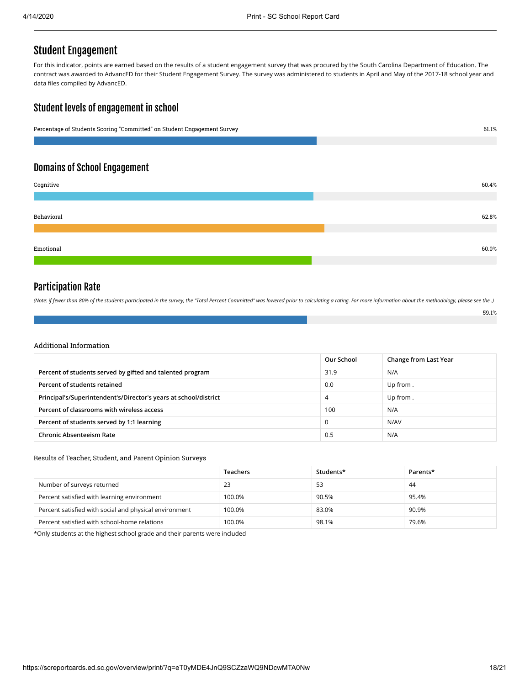## Student Engagement

For this indicator, points are earned based on the results of a student engagement survey that was procured by the South Carolina Department of Education. The contract was awarded to AdvancED for their Student Engagement Survey. The survey was administered to students in April and May of the 2017-18 school year and data files compiled by AdvancED.

### Student levels of engagement in school

| Percentage of Students Scoring "Committed" on Student Engagement Survey | 61.1% |
|-------------------------------------------------------------------------|-------|
|                                                                         |       |
| <b>Domains of School Engagement</b>                                     |       |
|                                                                         |       |
| Cognitive                                                               | 60.4% |
|                                                                         |       |
|                                                                         |       |
| Behavioral                                                              | 62.8% |
|                                                                         |       |
|                                                                         |       |
| Emotional                                                               | 60.0% |
|                                                                         |       |

### Participation Rate

*(Note: if fewer than 80% of the students participated in the survey, the "Total Percent Committed" was lowered prior to calculating a rating. For more information about the methodology, please see the .)*

#### Additional Information

|                                                                  | Our School | Change from Last Year |
|------------------------------------------------------------------|------------|-----------------------|
| Percent of students served by gifted and talented program        | 31.9       | N/A                   |
| Percent of students retained                                     | 0.0        | Up from.              |
| Principal's/Superintendent's/Director's years at school/district | 4          | Up from.              |
| Percent of classrooms with wireless access                       | 100        | N/A                   |
| Percent of students served by 1:1 learning                       |            | N/AV                  |
| <b>Chronic Absenteeism Rate</b>                                  | 0.5        | N/A                   |

#### Results of Teacher, Student, and Parent Opinion Surveys

|                                                        | <b>Teachers</b> | Students* | Parents* |
|--------------------------------------------------------|-----------------|-----------|----------|
| Number of surveys returned                             | 23              | 53        | 44       |
| Percent satisfied with learning environment            | 100.0%          | 90.5%     | 95.4%    |
| Percent satisfied with social and physical environment | 100.0%          | 83.0%     | 90.9%    |
| Percent satisfied with school-home relations           | 100.0%          | 98.1%     | 79.6%    |

\*Only students at the highest school grade and their parents were included

59.1%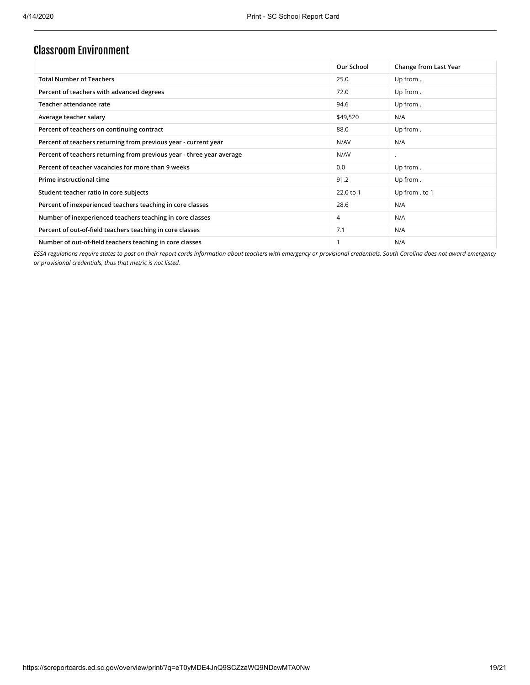## Classroom Environment

|                                                                       | Our School | Change from Last Year |
|-----------------------------------------------------------------------|------------|-----------------------|
| <b>Total Number of Teachers</b>                                       | 25.0       | Up from.              |
| Percent of teachers with advanced degrees                             | 72.0       | Up from.              |
| Teacher attendance rate                                               | 94.6       | Up from.              |
| Average teacher salary                                                | \$49,520   | N/A                   |
| Percent of teachers on continuing contract                            | 88.0       | Up from.              |
| Percent of teachers returning from previous year - current year       | N/AV       | N/A                   |
| Percent of teachers returning from previous year - three year average | N/AV       |                       |
| Percent of teacher vacancies for more than 9 weeks                    | 0.0        | Up from.              |
| Prime instructional time                                              | 91.2       | Up from.              |
| Student-teacher ratio in core subjects                                | 22.0 to 1  | Up from . to 1        |
| Percent of inexperienced teachers teaching in core classes            | 28.6       | N/A                   |
| Number of inexperienced teachers teaching in core classes             | 4          | N/A                   |
| Percent of out-of-field teachers teaching in core classes             | 7.1        | N/A                   |
| Number of out-of-field teachers teaching in core classes              |            | N/A                   |

*ESSA regulations require states to post on their report cards information about teachers with emergency or provisional credentials. South Carolina does not award emergency or provisional credentials, thus that metric is not listed.*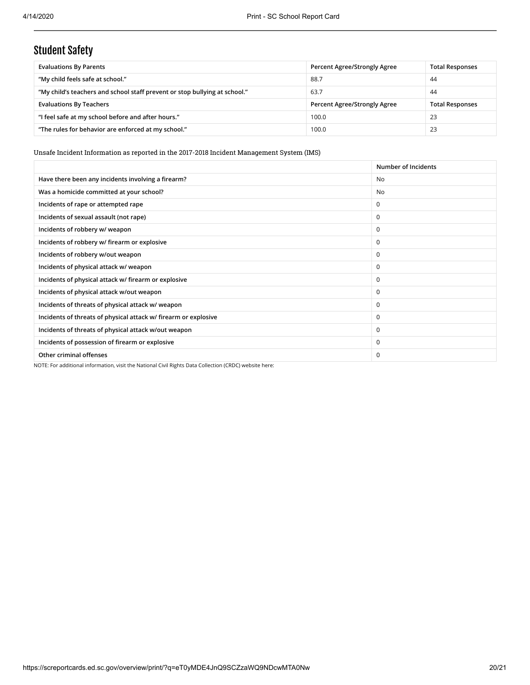# Student Safety

| <b>Evaluations By Parents</b>                                              | Percent Agree/Strongly Agree | <b>Total Responses</b> |
|----------------------------------------------------------------------------|------------------------------|------------------------|
| "My child feels safe at school."                                           | 88.7                         | 44                     |
| "My child's teachers and school staff prevent or stop bullying at school." | 63.7                         | 44                     |
| <b>Evaluations By Teachers</b>                                             | Percent Agree/Strongly Agree | <b>Total Responses</b> |
| "I feel safe at my school before and after hours."                         | 100.0                        | 23                     |
| "The rules for behavior are enforced at my school."                        | 100.0                        | 23                     |

Unsafe Incident Information as reported in the 2017-2018 Incident Management System (IMS)

|                                                                 | Number of Incidents |
|-----------------------------------------------------------------|---------------------|
| Have there been any incidents involving a firearm?              | No                  |
| Was a homicide committed at your school?                        | <b>No</b>           |
| Incidents of rape or attempted rape                             | $\mathbf 0$         |
| Incidents of sexual assault (not rape)                          | $\Omega$            |
| Incidents of robbery w/ weapon                                  | $\Omega$            |
| Incidents of robbery w/ firearm or explosive                    | $\Omega$            |
| Incidents of robbery w/out weapon                               | $\Omega$            |
| Incidents of physical attack w/ weapon                          | $\Omega$            |
| Incidents of physical attack w/ firearm or explosive            | $\mathbf 0$         |
| Incidents of physical attack w/out weapon                       | $\mathbf 0$         |
| Incidents of threats of physical attack w/ weapon               | $\Omega$            |
| Incidents of threats of physical attack w/ firearm or explosive | $\mathbf 0$         |
| Incidents of threats of physical attack w/out weapon            | $\Omega$            |
| Incidents of possession of firearm or explosive                 | $\Omega$            |
| Other criminal offenses                                         | 0                   |
|                                                                 |                     |

NOTE: For additional information, visit the National Civil Rights Data Collection (CRDC) website here: